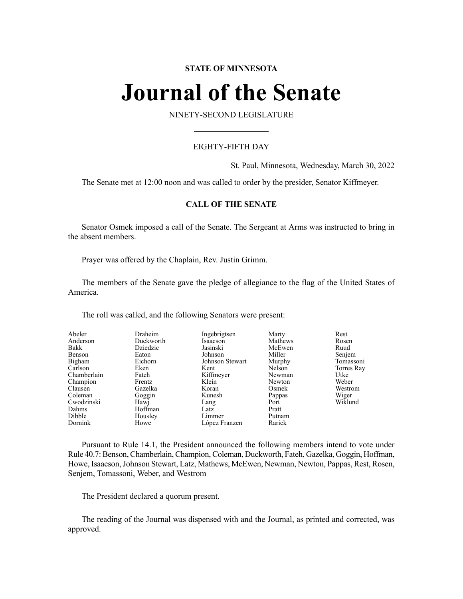# **STATE OF MINNESOTA**

# **Journal of the Senate**

NINETY-SECOND LEGISLATURE

# EIGHTY-FIFTH DAY

St. Paul, Minnesota, Wednesday, March 30, 2022

The Senate met at 12:00 noon and was called to order by the presider, Senator Kiffmeyer.

# **CALL OF THE SENATE**

Senator Osmek imposed a call of the Senate. The Sergeant at Arms was instructed to bring in the absent members.

Prayer was offered by the Chaplain, Rev. Justin Grimm.

The members of the Senate gave the pledge of allegiance to the flag of the United States of America.

The roll was called, and the following Senators were present:

| Abeler      | Draheim   | Ingebrigtsen    | Marty   | Rest       |
|-------------|-----------|-----------------|---------|------------|
| Anderson    | Duckworth | Isaacson        | Mathews | Rosen      |
| Bakk        | Dziedzic  | Jasinski        | McEwen  | Ruud       |
| Benson      | Eaton     | Johnson         | Miller  | Senjem     |
| Bigham      | Eichorn   | Johnson Stewart | Murphy  | Tomassoni  |
| Carlson     | Eken      | Kent            | Nelson  | Torres Ray |
| Chamberlain | Fateh     | Kiffmeyer       | Newman  | Utke       |
| Champion    | Frentz    | Klein           | Newton  | Weber      |
| Clausen     | Gazelka   | Koran           | Osmek   | Westrom    |
| Coleman     | Goggin    | Kunesh          | Pappas  | Wiger      |
| Cwodzinski  | Hawj      | Lang            | Port    | Wiklund    |
| Dahms       | Hoffman   | Latz            | Pratt   |            |
| Dibble      | Housley   | Limmer          | Putnam  |            |
| Dornink     | Howe      | López Franzen   | Rarick  |            |

Pursuant to Rule 14.1, the President announced the following members intend to vote under Rule 40.7: Benson, Chamberlain, Champion, Coleman, Duckworth, Fateh, Gazelka, Goggin, Hoffman, Howe, Isaacson,Johnson Stewart, Latz, Mathews, McEwen, Newman, Newton, Pappas, Rest, Rosen, Senjem, Tomassoni, Weber, and Westrom

The President declared a quorum present.

The reading of the Journal was dispensed with and the Journal, as printed and corrected, was approved.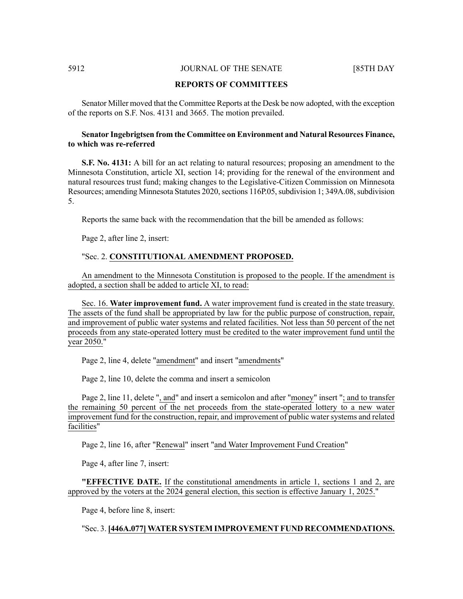#### **REPORTS OF COMMITTEES**

Senator Miller moved that the Committee Reports at the Desk be now adopted, with the exception of the reports on S.F. Nos. 4131 and 3665. The motion prevailed.

## **Senator Ingebrigtsen from the Committee on Environment and Natural Resources Finance, to which was re-referred**

**S.F. No. 4131:** A bill for an act relating to natural resources; proposing an amendment to the Minnesota Constitution, article XI, section 14; providing for the renewal of the environment and natural resources trust fund; making changes to the Legislative-Citizen Commission on Minnesota Resources; amending Minnesota Statutes 2020, sections 116P.05, subdivision 1; 349A.08, subdivision 5.

Reports the same back with the recommendation that the bill be amended as follows:

Page 2, after line 2, insert:

#### "Sec. 2. **CONSTITUTIONAL AMENDMENT PROPOSED.**

An amendment to the Minnesota Constitution is proposed to the people. If the amendment is adopted, a section shall be added to article XI, to read:

Sec. 16. **Water improvement fund.** A water improvement fund is created in the state treasury. The assets of the fund shall be appropriated by law for the public purpose of construction, repair, and improvement of public water systems and related facilities. Not less than 50 percent of the net proceeds from any state-operated lottery must be credited to the water improvement fund until the year 2050."

Page 2, line 4, delete "amendment" and insert "amendments"

Page 2, line 10, delete the comma and insert a semicolon

Page 2, line 11, delete ", and" and insert a semicolon and after "money" insert "; and to transfer the remaining 50 percent of the net proceeds from the state-operated lottery to a new water improvement fund for the construction, repair, and improvement of public water systems and related facilities"

Page 2, line 16, after "Renewal" insert "and Water Improvement Fund Creation"

Page 4, after line 7, insert:

**"EFFECTIVE DATE.** If the constitutional amendments in article 1, sections 1 and 2, are approved by the voters at the 2024 general election, this section is effective January 1, 2025."

Page 4, before line 8, insert:

#### "Sec. 3. **[446A.077] WATER SYSTEM IMPROVEMENT FUND RECOMMENDATIONS.**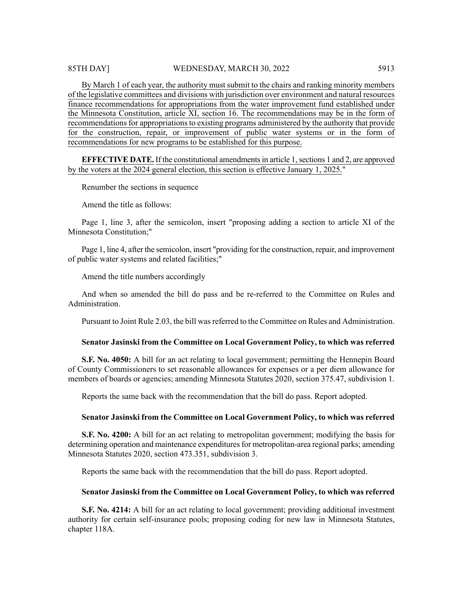By March 1 of each year, the authority must submit to the chairs and ranking minority members of the legislative committees and divisions with jurisdiction over environment and natural resources finance recommendations for appropriations from the water improvement fund established under the Minnesota Constitution, article XI, section 16. The recommendations may be in the form of recommendations for appropriations to existing programs administered by the authority that provide for the construction, repair, or improvement of public water systems or in the form of recommendations for new programs to be established for this purpose.

**EFFECTIVE DATE.** If the constitutional amendmentsin article 1,sections 1 and 2, are approved by the voters at the 2024 general election, this section is effective January 1, 2025."

Renumber the sections in sequence

Amend the title as follows:

Page 1, line 3, after the semicolon, insert "proposing adding a section to article XI of the Minnesota Constitution;"

Page 1, line 4, after the semicolon, insert "providing for the construction, repair, and improvement of public water systems and related facilities;"

Amend the title numbers accordingly

And when so amended the bill do pass and be re-referred to the Committee on Rules and Administration.

Pursuant to Joint Rule 2.03, the bill wasreferred to the Committee on Rules and Administration.

#### **Senator Jasinski from the Committee on Local Government Policy, to which was referred**

**S.F. No. 4050:** A bill for an act relating to local government; permitting the Hennepin Board of County Commissioners to set reasonable allowances for expenses or a per diem allowance for members of boards or agencies; amending Minnesota Statutes 2020, section 375.47, subdivision 1.

Reports the same back with the recommendation that the bill do pass. Report adopted.

#### **Senator Jasinski from the Committee on Local Government Policy, to which was referred**

**S.F. No. 4200:** A bill for an act relating to metropolitan government; modifying the basis for determining operation and maintenance expenditures for metropolitan-area regional parks; amending Minnesota Statutes 2020, section 473.351, subdivision 3.

Reports the same back with the recommendation that the bill do pass. Report adopted.

#### **Senator Jasinski from the Committee on Local Government Policy, to which was referred**

**S.F. No. 4214:** A bill for an act relating to local government; providing additional investment authority for certain self-insurance pools; proposing coding for new law in Minnesota Statutes, chapter 118A.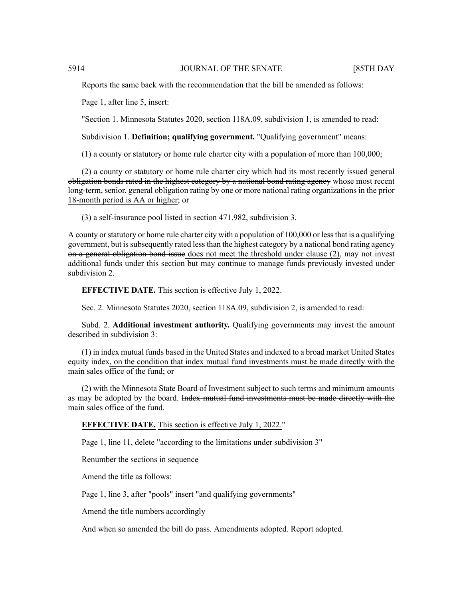Reports the same back with the recommendation that the bill be amended as follows:

Page 1, after line 5, insert:

"Section 1. Minnesota Statutes 2020, section 118A.09, subdivision 1, is amended to read:

Subdivision 1. **Definition; qualifying government.** "Qualifying government" means:

(1) a county or statutory or home rule charter city with a population of more than 100,000;

 $(2)$  a county or statutory or home rule charter city which had its most recently issued general obligation bonds rated in the highest category by a national bond rating agency whose most recent long-term, senior, general obligation rating by one or more national rating organizations in the prior 18-month period is AA or higher; or

(3) a self-insurance pool listed in section 471.982, subdivision 3.

A county or statutory or home rule charter city with a population of 100,000 or less that is a qualifying government, but is subsequently rated less than the highest category by a national bond rating agency on a general obligation bond issue does not meet the threshold under clause  $(2)$ , may not invest additional funds under this section but may continue to manage funds previously invested under subdivision 2.

#### **EFFECTIVE DATE.** This section is effective July 1, 2022.

Sec. 2. Minnesota Statutes 2020, section 118A.09, subdivision 2, is amended to read:

Subd. 2. **Additional investment authority.** Qualifying governments may invest the amount described in subdivision 3:

(1) in index mutual funds based in the United States and indexed to a broad market United States equity index, on the condition that index mutual fund investments must be made directly with the main sales office of the fund; or

(2) with the Minnesota State Board of Investment subject to such terms and minimum amounts as may be adopted by the board. Index mutual fund investments must be made directly with the main sales office of the fund.

**EFFECTIVE DATE.** This section is effective July 1, 2022."

Page 1, line 11, delete "according to the limitations under subdivision 3"

Renumber the sections in sequence

Amend the title as follows:

Page 1, line 3, after "pools" insert "and qualifying governments"

Amend the title numbers accordingly

And when so amended the bill do pass. Amendments adopted. Report adopted.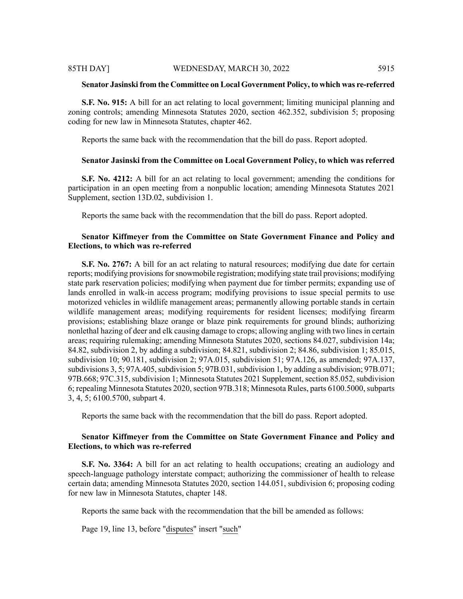#### **Senator Jasinski from the Committee on Local Government Policy, to which was re-referred**

**S.F. No. 915:** A bill for an act relating to local government; limiting municipal planning and zoning controls; amending Minnesota Statutes 2020, section 462.352, subdivision 5; proposing coding for new law in Minnesota Statutes, chapter 462.

Reports the same back with the recommendation that the bill do pass. Report adopted.

#### **Senator Jasinski from the Committee on Local Government Policy, to which was referred**

**S.F. No. 4212:** A bill for an act relating to local government; amending the conditions for participation in an open meeting from a nonpublic location; amending Minnesota Statutes 2021 Supplement, section 13D.02, subdivision 1.

Reports the same back with the recommendation that the bill do pass. Report adopted.

# **Senator Kiffmeyer from the Committee on State Government Finance and Policy and Elections, to which was re-referred**

**S.F. No. 2767:** A bill for an act relating to natural resources; modifying due date for certain reports; modifying provisions for snowmobile registration; modifying state trail provisions; modifying state park reservation policies; modifying when payment due for timber permits; expanding use of lands enrolled in walk-in access program; modifying provisions to issue special permits to use motorized vehicles in wildlife management areas; permanently allowing portable stands in certain wildlife management areas; modifying requirements for resident licenses; modifying firearm provisions; establishing blaze orange or blaze pink requirements for ground blinds; authorizing nonlethal hazing of deer and elk causing damage to crops; allowing angling with two lines in certain areas; requiring rulemaking; amending Minnesota Statutes 2020, sections 84.027, subdivision 14a; 84.82, subdivision 2, by adding a subdivision; 84.821, subdivision 2; 84.86, subdivision 1; 85.015, subdivision 10; 90.181, subdivision 2; 97A.015, subdivision 51; 97A.126, as amended; 97A.137, subdivisions  $3, 5$ ; 97A.405, subdivision  $5$ ; 97B.031, subdivision 1, by adding a subdivision; 97B.071; 97B.668; 97C.315, subdivision 1; Minnesota Statutes 2021 Supplement, section 85.052, subdivision 6; repealing Minnesota Statutes 2020, section 97B.318; Minnesota Rules, parts 6100.5000, subparts 3, 4, 5; 6100.5700, subpart 4.

Reports the same back with the recommendation that the bill do pass. Report adopted.

# **Senator Kiffmeyer from the Committee on State Government Finance and Policy and Elections, to which was re-referred**

**S.F. No. 3364:** A bill for an act relating to health occupations; creating an audiology and speech-language pathology interstate compact; authorizing the commissioner of health to release certain data; amending Minnesota Statutes 2020, section 144.051, subdivision 6; proposing coding for new law in Minnesota Statutes, chapter 148.

Reports the same back with the recommendation that the bill be amended as follows:

Page 19, line 13, before "disputes" insert "such"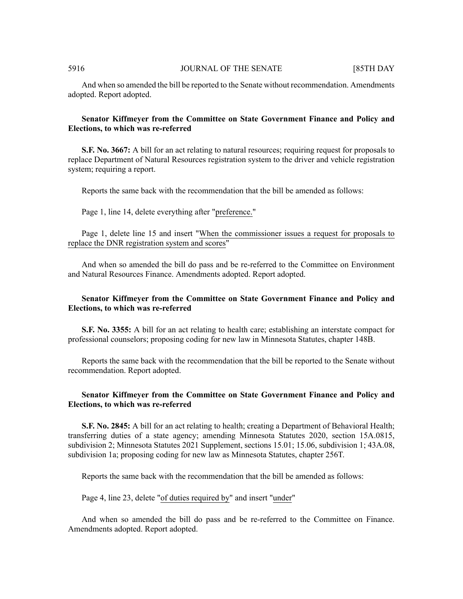And when so amended the bill be reported to the Senate without recommendation. Amendments adopted. Report adopted.

# **Senator Kiffmeyer from the Committee on State Government Finance and Policy and Elections, to which was re-referred**

**S.F. No. 3667:** A bill for an act relating to natural resources; requiring request for proposals to replace Department of Natural Resources registration system to the driver and vehicle registration system; requiring a report.

Reports the same back with the recommendation that the bill be amended as follows:

Page 1, line 14, delete everything after "preference."

Page 1, delete line 15 and insert "When the commissioner issues a request for proposals to replace the DNR registration system and scores"

And when so amended the bill do pass and be re-referred to the Committee on Environment and Natural Resources Finance. Amendments adopted. Report adopted.

# **Senator Kiffmeyer from the Committee on State Government Finance and Policy and Elections, to which was re-referred**

**S.F. No. 3355:** A bill for an act relating to health care; establishing an interstate compact for professional counselors; proposing coding for new law in Minnesota Statutes, chapter 148B.

Reports the same back with the recommendation that the bill be reported to the Senate without recommendation. Report adopted.

# **Senator Kiffmeyer from the Committee on State Government Finance and Policy and Elections, to which was re-referred**

**S.F. No. 2845:** A bill for an act relating to health; creating a Department of Behavioral Health; transferring duties of a state agency; amending Minnesota Statutes 2020, section 15A.0815, subdivision 2; Minnesota Statutes 2021 Supplement, sections 15.01; 15.06, subdivision 1; 43A.08, subdivision 1a; proposing coding for new law as Minnesota Statutes, chapter 256T.

Reports the same back with the recommendation that the bill be amended as follows:

Page 4, line 23, delete "of duties required by" and insert "under"

And when so amended the bill do pass and be re-referred to the Committee on Finance. Amendments adopted. Report adopted.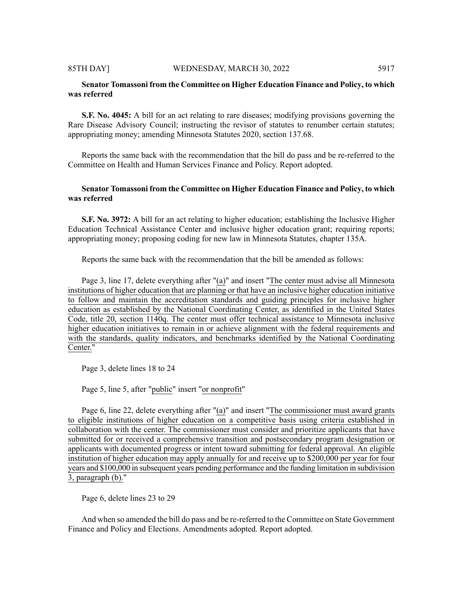# **Senator Tomassoni from the Committee on Higher Education Finance and Policy, to which was referred**

**S.F. No. 4045:** A bill for an act relating to rare diseases; modifying provisions governing the Rare Disease Advisory Council; instructing the revisor of statutes to renumber certain statutes; appropriating money; amending Minnesota Statutes 2020, section 137.68.

Reports the same back with the recommendation that the bill do pass and be re-referred to the Committee on Health and Human Services Finance and Policy. Report adopted.

# **Senator Tomassoni from the Committee on Higher Education Finance and Policy, to which was referred**

**S.F. No. 3972:** A bill for an act relating to higher education; establishing the Inclusive Higher Education Technical Assistance Center and inclusive higher education grant; requiring reports; appropriating money; proposing coding for new law in Minnesota Statutes, chapter 135A.

Reports the same back with the recommendation that the bill be amended as follows:

Page 3, line 17, delete everything after "(a)" and insert "The center must advise all Minnesota institutions of higher education that are planning or that have an inclusive higher education initiative to follow and maintain the accreditation standards and guiding principles for inclusive higher education as established by the National Coordinating Center, as identified in the United States Code, title 20, section 1140q. The center must offer technical assistance to Minnesota inclusive higher education initiatives to remain in or achieve alignment with the federal requirements and with the standards, quality indicators, and benchmarks identified by the National Coordinating Center."

Page 3, delete lines 18 to 24

Page 5, line 5, after "public" insert "or nonprofit"

Page 6, line 22, delete everything after "(a)" and insert "The commissioner must award grants to eligible institutions of higher education on a competitive basis using criteria established in collaboration with the center. The commissioner must consider and prioritize applicants that have submitted for or received a comprehensive transition and postsecondary program designation or applicants with documented progress or intent toward submitting for federal approval. An eligible institution of higher education may apply annually for and receive up to \$200,000 per year for four years and \$100,000 in subsequent years pending performance and the funding limitation in subdivision 3, paragraph (b)."

Page 6, delete lines 23 to 29

And when so amended the bill do pass and be re-referred to the Committee on State Government Finance and Policy and Elections. Amendments adopted. Report adopted.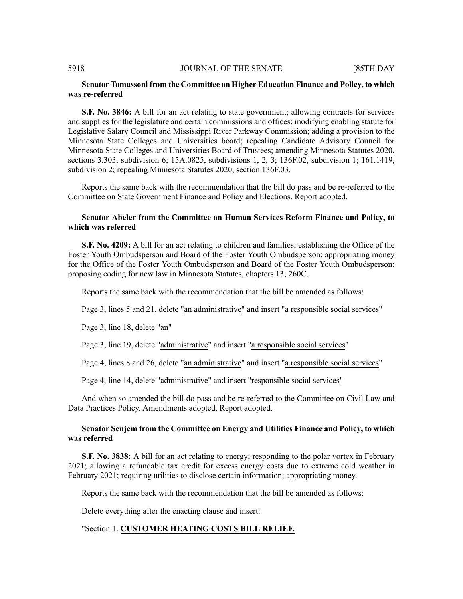# **Senator Tomassoni from the Committee on Higher Education Finance and Policy, to which was re-referred**

**S.F. No. 3846:** A bill for an act relating to state government; allowing contracts for services and supplies for the legislature and certain commissions and offices; modifying enabling statute for Legislative Salary Council and Mississippi River Parkway Commission; adding a provision to the Minnesota State Colleges and Universities board; repealing Candidate Advisory Council for Minnesota State Colleges and Universities Board of Trustees; amending Minnesota Statutes 2020, sections 3.303, subdivision 6; 15A.0825, subdivisions 1, 2, 3; 136F.02, subdivision 1; 161.1419, subdivision 2; repealing Minnesota Statutes 2020, section 136F.03.

Reports the same back with the recommendation that the bill do pass and be re-referred to the Committee on State Government Finance and Policy and Elections. Report adopted.

### **Senator Abeler from the Committee on Human Services Reform Finance and Policy, to which was referred**

**S.F. No. 4209:** A bill for an act relating to children and families; establishing the Office of the Foster Youth Ombudsperson and Board of the Foster Youth Ombudsperson; appropriating money for the Office of the Foster Youth Ombudsperson and Board of the Foster Youth Ombudsperson; proposing coding for new law in Minnesota Statutes, chapters 13; 260C.

Reports the same back with the recommendation that the bill be amended as follows:

Page 3, lines 5 and 21, delete "an administrative" and insert "a responsible social services"

Page 3, line 18, delete "an"

Page 3, line 19, delete "administrative" and insert "a responsible social services"

Page 4, lines 8 and 26, delete "an administrative" and insert "a responsible social services"

Page 4, line 14, delete "administrative" and insert "responsible social services"

And when so amended the bill do pass and be re-referred to the Committee on Civil Law and Data Practices Policy. Amendments adopted. Report adopted.

# **Senator Senjem from the Committee on Energy and Utilities Finance and Policy, to which was referred**

**S.F. No. 3838:** A bill for an act relating to energy; responding to the polar vortex in February 2021; allowing a refundable tax credit for excess energy costs due to extreme cold weather in February 2021; requiring utilities to disclose certain information; appropriating money.

Reports the same back with the recommendation that the bill be amended as follows:

Delete everything after the enacting clause and insert:

# "Section 1. **CUSTOMER HEATING COSTS BILL RELIEF.**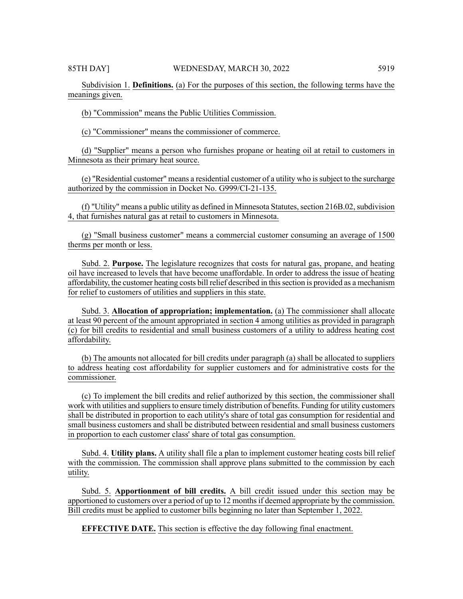Subdivision 1. **Definitions.** (a) For the purposes of this section, the following terms have the meanings given.

(b) "Commission" means the Public Utilities Commission.

(c) "Commissioner" means the commissioner of commerce.

(d) "Supplier" means a person who furnishes propane or heating oil at retail to customers in Minnesota as their primary heat source.

(e) "Residential customer" means a residential customer of a utility who issubject to the surcharge authorized by the commission in Docket No. G999/CI-21-135.

(f) "Utility" means a public utility as defined in Minnesota Statutes, section  $216B.02$ , subdivision 4, that furnishes natural gas at retail to customers in Minnesota.

(g) "Small business customer" means a commercial customer consuming an average of 1500 therms per month or less.

Subd. 2. **Purpose.** The legislature recognizes that costs for natural gas, propane, and heating oil have increased to levels that have become unaffordable. In order to address the issue of heating affordability, the customer heating costs bill relief described in this section is provided as a mechanism for relief to customers of utilities and suppliers in this state.

Subd. 3. **Allocation of appropriation; implementation.** (a) The commissioner shall allocate at least 90 percent of the amount appropriated in section 4 among utilities as provided in paragraph (c) for bill credits to residential and small business customers of a utility to address heating cost affordability.

(b) The amounts not allocated for bill credits under paragraph (a) shall be allocated to suppliers to address heating cost affordability for supplier customers and for administrative costs for the commissioner.

(c) To implement the bill credits and relief authorized by this section, the commissioner shall work with utilities and suppliers to ensure timely distribution of benefits. Funding for utility customers shall be distributed in proportion to each utility's share of total gas consumption for residential and small business customers and shall be distributed between residential and small business customers in proportion to each customer class' share of total gas consumption.

Subd. 4. **Utility plans.** A utility shall file a plan to implement customer heating costs bill relief with the commission. The commission shall approve plans submitted to the commission by each utility.

Subd. 5. **Apportionment of bill credits.** A bill credit issued under this section may be apportioned to customers over a period of up to 12 monthsif deemed appropriate by the commission. Bill credits must be applied to customer bills beginning no later than September 1, 2022.

**EFFECTIVE DATE.** This section is effective the day following final enactment.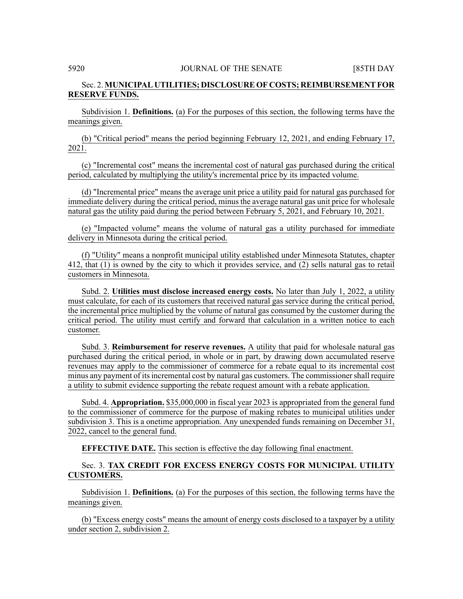# Sec. 2. **MUNICIPAL UTILITIES; DISCLOSURE OF COSTS; REIMBURSEMENTFOR RESERVE FUNDS.**

Subdivision 1. **Definitions.** (a) For the purposes of this section, the following terms have the meanings given.

(b) "Critical period" means the period beginning February 12, 2021, and ending February 17, 2021.

(c) "Incremental cost" means the incremental cost of natural gas purchased during the critical period, calculated by multiplying the utility's incremental price by its impacted volume.

(d) "Incremental price" means the average unit price a utility paid for natural gas purchased for immediate delivery during the critical period, minus the average natural gas unit price for wholesale natural gas the utility paid during the period between February 5, 2021, and February 10, 2021.

(e) "Impacted volume" means the volume of natural gas a utility purchased for immediate delivery in Minnesota during the critical period.

(f) "Utility" means a nonprofit municipal utility established under Minnesota Statutes, chapter 412, that (1) is owned by the city to which it provides service, and (2) sells natural gas to retail customers in Minnesota.

Subd. 2. **Utilities must disclose increased energy costs.** No later than July 1, 2022, a utility must calculate, for each of its customers that received natural gas service during the critical period, the incremental price multiplied by the volume of natural gas consumed by the customer during the critical period. The utility must certify and forward that calculation in a written notice to each customer.

Subd. 3. **Reimbursement for reserve revenues.** A utility that paid for wholesale natural gas purchased during the critical period, in whole or in part, by drawing down accumulated reserve revenues may apply to the commissioner of commerce for a rebate equal to its incremental cost minus any payment of itsincremental cost by natural gas customers. The commissionershall require a utility to submit evidence supporting the rebate request amount with a rebate application.

Subd. 4. **Appropriation.** \$35,000,000 in fiscal year 2023 is appropriated from the general fund to the commissioner of commerce for the purpose of making rebates to municipal utilities under subdivision 3. This is a onetime appropriation. Any unexpended funds remaining on December 31, 2022, cancel to the general fund.

**EFFECTIVE DATE.** This section is effective the day following final enactment.

Sec. 3. **TAX CREDIT FOR EXCESS ENERGY COSTS FOR MUNICIPAL UTILITY CUSTOMERS.**

Subdivision 1. **Definitions.** (a) For the purposes of this section, the following terms have the meanings given.

(b) "Excess energy costs" means the amount of energy costs disclosed to a taxpayer by a utility under section 2, subdivision 2.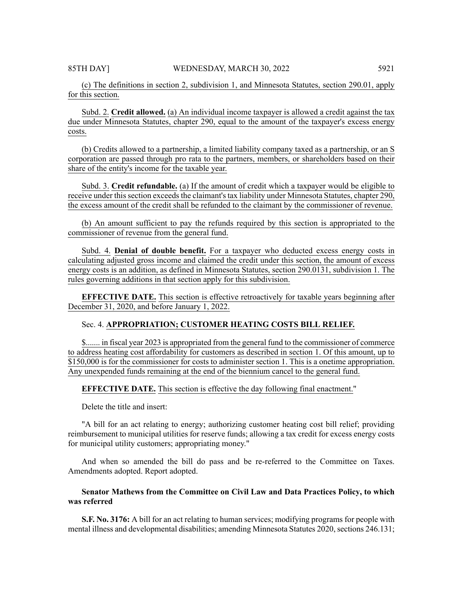(c) The definitions in section 2, subdivision 1, and Minnesota Statutes, section 290.01, apply for this section.

Subd. 2. **Credit allowed.** (a) An individual income taxpayer is allowed a credit against the tax due under Minnesota Statutes, chapter 290, equal to the amount of the taxpayer's excess energy costs.

(b) Credits allowed to a partnership, a limited liability company taxed as a partnership, or an S corporation are passed through pro rata to the partners, members, or shareholders based on their share of the entity's income for the taxable year.

Subd. 3. **Credit refundable.** (a) If the amount of credit which a taxpayer would be eligible to receive under this section exceeds the claimant's tax liability under Minnesota Statutes, chapter 290, the excess amount of the credit shall be refunded to the claimant by the commissioner of revenue.

(b) An amount sufficient to pay the refunds required by this section is appropriated to the commissioner of revenue from the general fund.

Subd. 4. **Denial of double benefit.** For a taxpayer who deducted excess energy costs in calculating adjusted gross income and claimed the credit under this section, the amount of excess energy costs is an addition, as defined in Minnesota Statutes, section 290.0131, subdivision 1. The rules governing additions in that section apply for this subdivision.

**EFFECTIVE DATE.** This section is effective retroactively for taxable years beginning after December 31, 2020, and before January 1, 2022.

# Sec. 4. **APPROPRIATION; CUSTOMER HEATING COSTS BILL RELIEF.**

\$....... in fiscal year 2023 is appropriated from the general fund to the commissioner of commerce to address heating cost affordability for customers as described in section 1. Of this amount, up to \$150,000 is for the commissioner for costs to administer section 1. This is a onetime appropriation. Any unexpended funds remaining at the end of the biennium cancel to the general fund.

**EFFECTIVE DATE.** This section is effective the day following final enactment."

Delete the title and insert:

"A bill for an act relating to energy; authorizing customer heating cost bill relief; providing reimbursement to municipal utilities for reserve funds; allowing a tax credit for excess energy costs for municipal utility customers; appropriating money."

And when so amended the bill do pass and be re-referred to the Committee on Taxes. Amendments adopted. Report adopted.

# **Senator Mathews from the Committee on Civil Law and Data Practices Policy, to which was referred**

**S.F. No. 3176:** A bill for an act relating to human services; modifying programs for people with mental illness and developmental disabilities; amending Minnesota Statutes 2020, sections 246.131;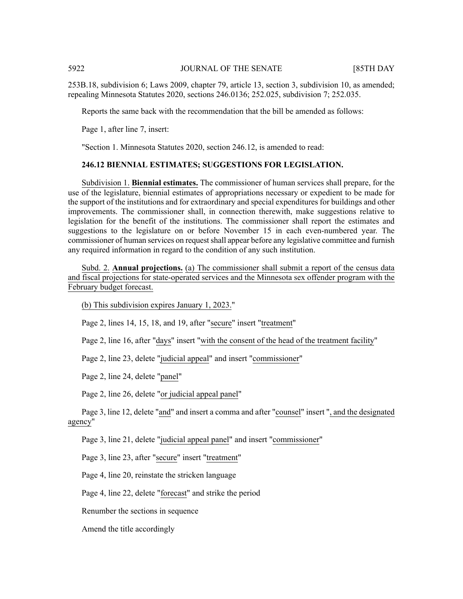253B.18, subdivision 6; Laws 2009, chapter 79, article 13, section 3, subdivision 10, as amended; repealing Minnesota Statutes 2020, sections 246.0136; 252.025, subdivision 7; 252.035.

Reports the same back with the recommendation that the bill be amended as follows:

Page 1, after line 7, insert:

"Section 1. Minnesota Statutes 2020, section 246.12, is amended to read:

#### **246.12 BIENNIAL ESTIMATES; SUGGESTIONS FOR LEGISLATION.**

Subdivision 1. **Biennial estimates.** The commissioner of human services shall prepare, for the use of the legislature, biennial estimates of appropriations necessary or expedient to be made for the support of the institutions and for extraordinary and special expenditures for buildings and other improvements. The commissioner shall, in connection therewith, make suggestions relative to legislation for the benefit of the institutions. The commissioner shall report the estimates and suggestions to the legislature on or before November 15 in each even-numbered year. The commissioner of human services on request shall appear before any legislative committee and furnish any required information in regard to the condition of any such institution.

Subd. 2. **Annual projections.** (a) The commissioner shall submit a report of the census data and fiscal projections for state-operated services and the Minnesota sex offender program with the February budget forecast.

(b) This subdivision expires January 1, 2023."

Page 2, lines 14, 15, 18, and 19, after "secure" insert "treatment"

Page 2, line 16, after "days" insert "with the consent of the head of the treatment facility"

Page 2, line 23, delete "judicial appeal" and insert "commissioner"

Page 2, line 24, delete "panel"

Page 2, line 26, delete "or judicial appeal panel"

Page 3, line 12, delete "and" and insert a comma and after "counsel" insert ", and the designated agency"

Page 3, line 21, delete "judicial appeal panel" and insert "commissioner"

Page 3, line 23, after "secure" insert "treatment"

Page 4, line 20, reinstate the stricken language

Page 4, line 22, delete "forecast" and strike the period

Renumber the sections in sequence

Amend the title accordingly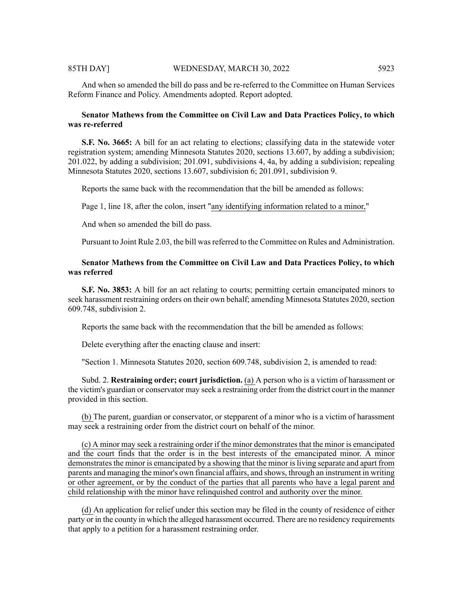#### 85TH DAY] WEDNESDAY, MARCH 30, 2022 5923

## **Senator Mathews from the Committee on Civil Law and Data Practices Policy, to which was re-referred**

**S.F. No. 3665:** A bill for an act relating to elections; classifying data in the statewide voter registration system; amending Minnesota Statutes 2020, sections 13.607, by adding a subdivision; 201.022, by adding a subdivision; 201.091, subdivisions 4, 4a, by adding a subdivision; repealing Minnesota Statutes 2020, sections 13.607, subdivision 6; 201.091, subdivision 9.

Reports the same back with the recommendation that the bill be amended as follows:

Page 1, line 18, after the colon, insert "any identifying information related to a minor,"

And when so amended the bill do pass.

Pursuant to Joint Rule 2.03, the bill wasreferred to the Committee on Rules and Administration.

# **Senator Mathews from the Committee on Civil Law and Data Practices Policy, to which was referred**

**S.F. No. 3853:** A bill for an act relating to courts; permitting certain emancipated minors to seek harassment restraining orders on their own behalf; amending Minnesota Statutes 2020, section 609.748, subdivision 2.

Reports the same back with the recommendation that the bill be amended as follows:

Delete everything after the enacting clause and insert:

"Section 1. Minnesota Statutes 2020, section 609.748, subdivision 2, is amended to read:

Subd. 2. **Restraining order; court jurisdiction.** (a) A person who is a victim of harassment or the victim's guardian or conservator may seek a restraining order from the district court in the manner provided in this section.

(b) The parent, guardian or conservator, or stepparent of a minor who is a victim of harassment may seek a restraining order from the district court on behalf of the minor.

(c) A minor may seek a restraining order if the minor demonstratesthat the minor is emancipated and the court finds that the order is in the best interests of the emancipated minor. A minor demonstrates the minor is emancipated by a showing that the minor is living separate and apart from parents and managing the minor's own financial affairs, and shows, through an instrument in writing or other agreement, or by the conduct of the parties that all parents who have a legal parent and child relationship with the minor have relinquished control and authority over the minor.

(d) An application for relief under this section may be filed in the county of residence of either party or in the county in which the alleged harassment occurred. There are no residency requirements that apply to a petition for a harassment restraining order.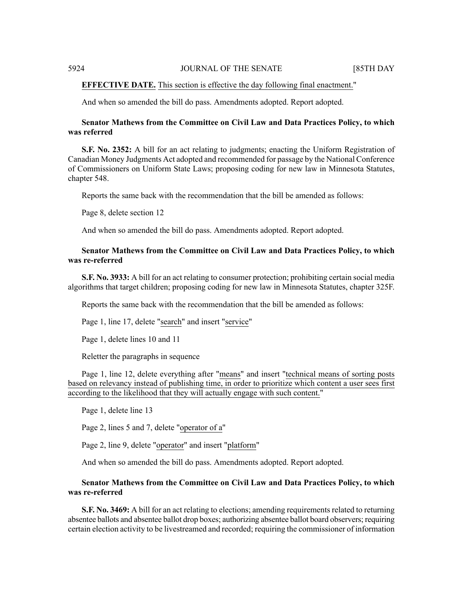#### **EFFECTIVE DATE.** This section is effective the day following final enactment."

And when so amended the bill do pass. Amendments adopted. Report adopted.

# **Senator Mathews from the Committee on Civil Law and Data Practices Policy, to which was referred**

**S.F. No. 2352:** A bill for an act relating to judgments; enacting the Uniform Registration of Canadian Money Judgments Act adopted and recommended for passage by the National Conference of Commissioners on Uniform State Laws; proposing coding for new law in Minnesota Statutes, chapter 548.

Reports the same back with the recommendation that the bill be amended as follows:

Page 8, delete section 12

And when so amended the bill do pass. Amendments adopted. Report adopted.

# **Senator Mathews from the Committee on Civil Law and Data Practices Policy, to which was re-referred**

**S.F. No. 3933:** A bill for an act relating to consumer protection; prohibiting certain social media algorithms that target children; proposing coding for new law in Minnesota Statutes, chapter 325F.

Reports the same back with the recommendation that the bill be amended as follows:

Page 1, line 17, delete "search" and insert "service"

Page 1, delete lines 10 and 11

Reletter the paragraphs in sequence

Page 1, line 12, delete everything after "means" and insert "technical means of sorting posts based on relevancy instead of publishing time, in order to prioritize which content a user sees first according to the likelihood that they will actually engage with such content."

Page 1, delete line 13

Page 2, lines 5 and 7, delete "operator of a"

Page 2, line 9, delete "operator" and insert "platform"

And when so amended the bill do pass. Amendments adopted. Report adopted.

# **Senator Mathews from the Committee on Civil Law and Data Practices Policy, to which was re-referred**

**S.F. No. 3469:** A bill for an act relating to elections; amending requirements related to returning absentee ballots and absentee ballot drop boxes; authorizing absentee ballot board observers; requiring certain election activity to be livestreamed and recorded; requiring the commissioner of information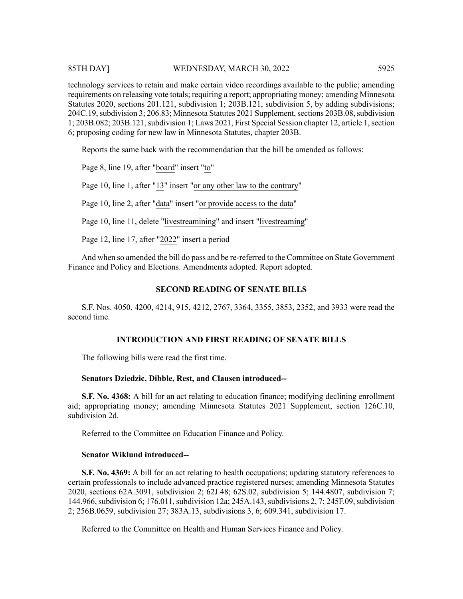### 85TH DAY] WEDNESDAY, MARCH 30, 2022 5925

technology services to retain and make certain video recordings available to the public; amending requirements on releasing vote totals; requiring a report; appropriating money; amending Minnesota Statutes 2020, sections 201.121, subdivision 1; 203B.121, subdivision 5, by adding subdivisions; 204C.19, subdivision 3; 206.83; Minnesota Statutes 2021 Supplement, sections 203B.08, subdivision 1; 203B.082; 203B.121,subdivision 1; Laws 2021, First Special Session chapter 12, article 1,section 6; proposing coding for new law in Minnesota Statutes, chapter 203B.

Reports the same back with the recommendation that the bill be amended as follows:

Page 8, line 19, after "board" insert "to"

Page 10, line 1, after "13" insert "or any other law to the contrary"

Page 10, line 2, after "data" insert "or provide access to the data"

Page 10, line 11, delete "livestreamining" and insert "livestreaming"

Page 12, line 17, after "2022" insert a period

And when so amended the bill do pass and be re-referred to the Committee on State Government Finance and Policy and Elections. Amendments adopted. Report adopted.

#### **SECOND READING OF SENATE BILLS**

S.F. Nos. 4050, 4200, 4214, 915, 4212, 2767, 3364, 3355, 3853, 2352, and 3933 were read the second time.

#### **INTRODUCTION AND FIRST READING OF SENATE BILLS**

The following bills were read the first time.

#### **Senators Dziedzic, Dibble, Rest, and Clausen introduced--**

**S.F. No. 4368:** A bill for an act relating to education finance; modifying declining enrollment aid; appropriating money; amending Minnesota Statutes 2021 Supplement, section 126C.10, subdivision 2d.

Referred to the Committee on Education Finance and Policy.

# **Senator Wiklund introduced--**

**S.F. No. 4369:** A bill for an act relating to health occupations; updating statutory references to certain professionals to include advanced practice registered nurses; amending Minnesota Statutes 2020, sections 62A.3091, subdivision 2; 62J.48; 62S.02, subdivision 5; 144.4807, subdivision 7; 144.966, subdivision 6; 176.011, subdivision 12a; 245A.143, subdivisions 2, 7; 245F.09, subdivision 2; 256B.0659, subdivision 27; 383A.13, subdivisions 3, 6; 609.341, subdivision 17.

Referred to the Committee on Health and Human Services Finance and Policy.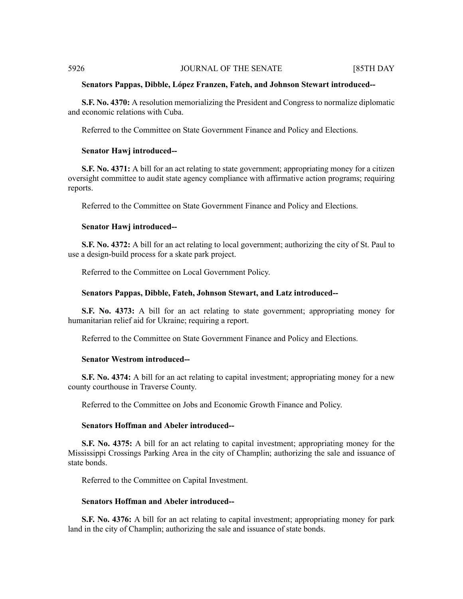#### **Senators Pappas, Dibble, López Franzen, Fateh, and Johnson Stewart introduced--**

**S.F. No. 4370:** A resolution memorializing the President and Congress to normalize diplomatic and economic relations with Cuba.

Referred to the Committee on State Government Finance and Policy and Elections.

#### **Senator Hawj introduced--**

**S.F. No. 4371:** A bill for an act relating to state government; appropriating money for a citizen oversight committee to audit state agency compliance with affirmative action programs; requiring reports.

Referred to the Committee on State Government Finance and Policy and Elections.

#### **Senator Hawj introduced--**

**S.F. No. 4372:** A bill for an act relating to local government; authorizing the city of St. Paul to use a design-build process for a skate park project.

Referred to the Committee on Local Government Policy.

#### **Senators Pappas, Dibble, Fateh, Johnson Stewart, and Latz introduced--**

**S.F. No. 4373:** A bill for an act relating to state government; appropriating money for humanitarian relief aid for Ukraine; requiring a report.

Referred to the Committee on State Government Finance and Policy and Elections.

### **Senator Westrom introduced--**

**S.F. No. 4374:** A bill for an act relating to capital investment; appropriating money for a new county courthouse in Traverse County.

Referred to the Committee on Jobs and Economic Growth Finance and Policy.

#### **Senators Hoffman and Abeler introduced--**

**S.F. No. 4375:** A bill for an act relating to capital investment; appropriating money for the Mississippi Crossings Parking Area in the city of Champlin; authorizing the sale and issuance of state bonds.

Referred to the Committee on Capital Investment.

#### **Senators Hoffman and Abeler introduced--**

**S.F. No. 4376:** A bill for an act relating to capital investment; appropriating money for park land in the city of Champlin; authorizing the sale and issuance of state bonds.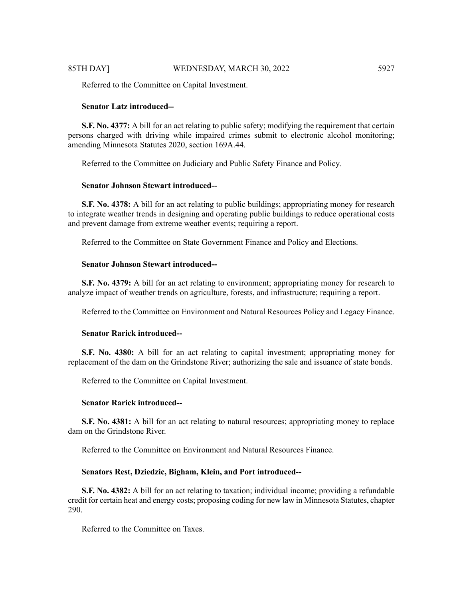Referred to the Committee on Capital Investment.

# **Senator Latz introduced--**

**S.F. No. 4377:** A bill for an act relating to public safety; modifying the requirement that certain persons charged with driving while impaired crimes submit to electronic alcohol monitoring; amending Minnesota Statutes 2020, section 169A.44.

Referred to the Committee on Judiciary and Public Safety Finance and Policy.

# **Senator Johnson Stewart introduced--**

**S.F. No. 4378:** A bill for an act relating to public buildings; appropriating money for research to integrate weather trends in designing and operating public buildings to reduce operational costs and prevent damage from extreme weather events; requiring a report.

Referred to the Committee on State Government Finance and Policy and Elections.

# **Senator Johnson Stewart introduced--**

**S.F. No. 4379:** A bill for an act relating to environment; appropriating money for research to analyze impact of weather trends on agriculture, forests, and infrastructure; requiring a report.

Referred to the Committee on Environment and Natural Resources Policy and Legacy Finance.

## **Senator Rarick introduced--**

**S.F. No. 4380:** A bill for an act relating to capital investment; appropriating money for replacement of the dam on the Grindstone River; authorizing the sale and issuance of state bonds.

Referred to the Committee on Capital Investment.

## **Senator Rarick introduced--**

**S.F. No. 4381:** A bill for an act relating to natural resources; appropriating money to replace dam on the Grindstone River.

Referred to the Committee on Environment and Natural Resources Finance.

# **Senators Rest, Dziedzic, Bigham, Klein, and Port introduced--**

**S.F. No. 4382:** A bill for an act relating to taxation; individual income; providing a refundable credit for certain heat and energy costs; proposing coding for new law in Minnesota Statutes, chapter 290.

Referred to the Committee on Taxes.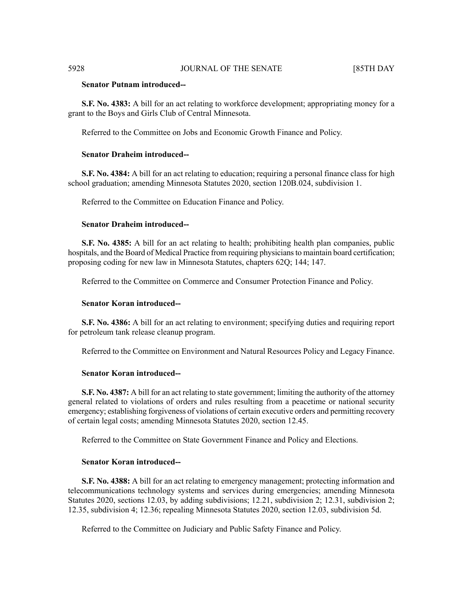### **Senator Putnam introduced--**

**S.F. No. 4383:** A bill for an act relating to workforce development; appropriating money for a grant to the Boys and Girls Club of Central Minnesota.

Referred to the Committee on Jobs and Economic Growth Finance and Policy.

# **Senator Draheim introduced--**

**S.F. No. 4384:** A bill for an act relating to education; requiring a personal finance class for high school graduation; amending Minnesota Statutes 2020, section 120B.024, subdivision 1.

Referred to the Committee on Education Finance and Policy.

# **Senator Draheim introduced--**

**S.F. No. 4385:** A bill for an act relating to health; prohibiting health plan companies, public hospitals, and the Board of Medical Practice from requiring physicians to maintain board certification; proposing coding for new law in Minnesota Statutes, chapters 62Q; 144; 147.

Referred to the Committee on Commerce and Consumer Protection Finance and Policy.

#### **Senator Koran introduced--**

**S.F. No. 4386:** A bill for an act relating to environment; specifying duties and requiring report for petroleum tank release cleanup program.

Referred to the Committee on Environment and Natural Resources Policy and Legacy Finance.

#### **Senator Koran introduced--**

**S.F. No. 4387:** A bill for an act relating to state government; limiting the authority of the attorney general related to violations of orders and rules resulting from a peacetime or national security emergency; establishing forgiveness of violations of certain executive orders and permitting recovery of certain legal costs; amending Minnesota Statutes 2020, section 12.45.

Referred to the Committee on State Government Finance and Policy and Elections.

### **Senator Koran introduced--**

**S.F. No. 4388:** A bill for an act relating to emergency management; protecting information and telecommunications technology systems and services during emergencies; amending Minnesota Statutes 2020, sections 12.03, by adding subdivisions; 12.21, subdivision 2; 12.31, subdivision 2; 12.35, subdivision 4; 12.36; repealing Minnesota Statutes 2020, section 12.03, subdivision 5d.

Referred to the Committee on Judiciary and Public Safety Finance and Policy.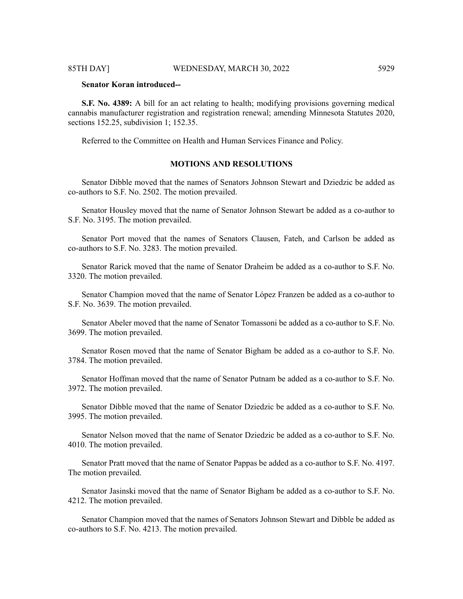# **Senator Koran introduced--**

**S.F. No. 4389:** A bill for an act relating to health; modifying provisions governing medical cannabis manufacturer registration and registration renewal; amending Minnesota Statutes 2020, sections 152.25, subdivision 1; 152.35.

Referred to the Committee on Health and Human Services Finance and Policy.

# **MOTIONS AND RESOLUTIONS**

Senator Dibble moved that the names of Senators Johnson Stewart and Dziedzic be added as co-authors to S.F. No. 2502. The motion prevailed.

Senator Housley moved that the name of Senator Johnson Stewart be added as a co-author to S.F. No. 3195. The motion prevailed.

Senator Port moved that the names of Senators Clausen, Fateh, and Carlson be added as co-authors to S.F. No. 3283. The motion prevailed.

Senator Rarick moved that the name of Senator Draheim be added as a co-author to S.F. No. 3320. The motion prevailed.

Senator Champion moved that the name of Senator López Franzen be added as a co-author to S.F. No. 3639. The motion prevailed.

Senator Abeler moved that the name of Senator Tomassoni be added as a co-author to S.F. No. 3699. The motion prevailed.

Senator Rosen moved that the name of Senator Bigham be added as a co-author to S.F. No. 3784. The motion prevailed.

Senator Hoffman moved that the name of Senator Putnam be added as a co-author to S.F. No. 3972. The motion prevailed.

Senator Dibble moved that the name of Senator Dziedzic be added as a co-author to S.F. No. 3995. The motion prevailed.

Senator Nelson moved that the name of Senator Dziedzic be added as a co-author to S.F. No. 4010. The motion prevailed.

Senator Pratt moved that the name of Senator Pappas be added as a co-author to S.F. No. 4197. The motion prevailed.

Senator Jasinski moved that the name of Senator Bigham be added as a co-author to S.F. No. 4212. The motion prevailed.

Senator Champion moved that the names of Senators Johnson Stewart and Dibble be added as co-authors to S.F. No. 4213. The motion prevailed.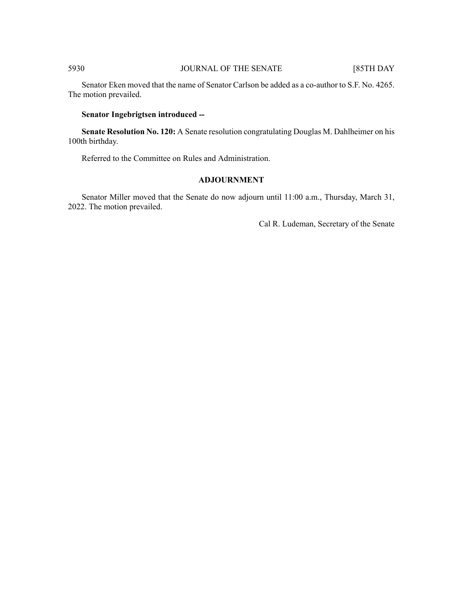Senator Eken moved that the name of Senator Carlson be added as a co-author to S.F. No. 4265. The motion prevailed.

# **Senator Ingebrigtsen introduced --**

**Senate Resolution No. 120:** A Senate resolution congratulating Douglas M. Dahlheimer on his 100th birthday.

Referred to the Committee on Rules and Administration.

# **ADJOURNMENT**

Senator Miller moved that the Senate do now adjourn until 11:00 a.m., Thursday, March 31, 2022. The motion prevailed.

Cal R. Ludeman, Secretary of the Senate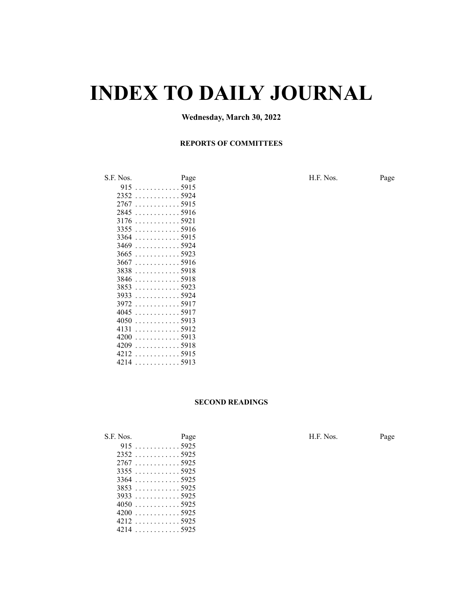# **INDEX TO DAILY JOURNAL**

# **Wednesday, March 30, 2022**

#### **REPORTS OF COMMITTEES**

S.F. Nos. Page H.F. Nos. Page . . . . . . . . . . . . 5915 . . . . . . . . . . . . 5924 . . . . . . . . . . . . 5915 . . . . . . . . . . . . 5916 . . . . . . . . . . . . 5921 . . . . . . . . . . . . 5916 . . . . . . . . . . . . 5915 . . . . . . . . . . . . 5924 . . . . . . . . . . . . 5923 . . . . . . . . . . . . 5916 . . . . . . . . . . . . 5918 . . . . . . . . . . . . 5918 . . . . . . . . . . . . 5923 . . . . . . . . . . . . 5924 . . . . . . . . . . . . 5917 . . . . . . . . . . . . 5917 . . . . . . . . . . . . 5913 . . . . . . . . . . . . 5912 . . . . . . . . . . . . 5913 . . . . . . . . . . . . 5918 . . . . . . . . . . . . 5915 . . . . . . . . . . . . 5913

#### **SECOND READINGS**

| S.F. Nos.   | Page        | H.F. Nos. | Page |
|-------------|-------------|-----------|------|
|             | $915$ 5925  |           |      |
| $2352$ 5925 |             |           |      |
| 27675925    |             |           |      |
|             | $3355$ 5925 |           |      |
|             | $3364$ 5925 |           |      |
|             | $3853$ 5925 |           |      |
|             | $3933$ 5925 |           |      |
|             | $4050$ 5925 |           |      |
|             | $4200$ 5925 |           |      |
|             | 42125925    |           |      |
|             | $4214$ 5925 |           |      |